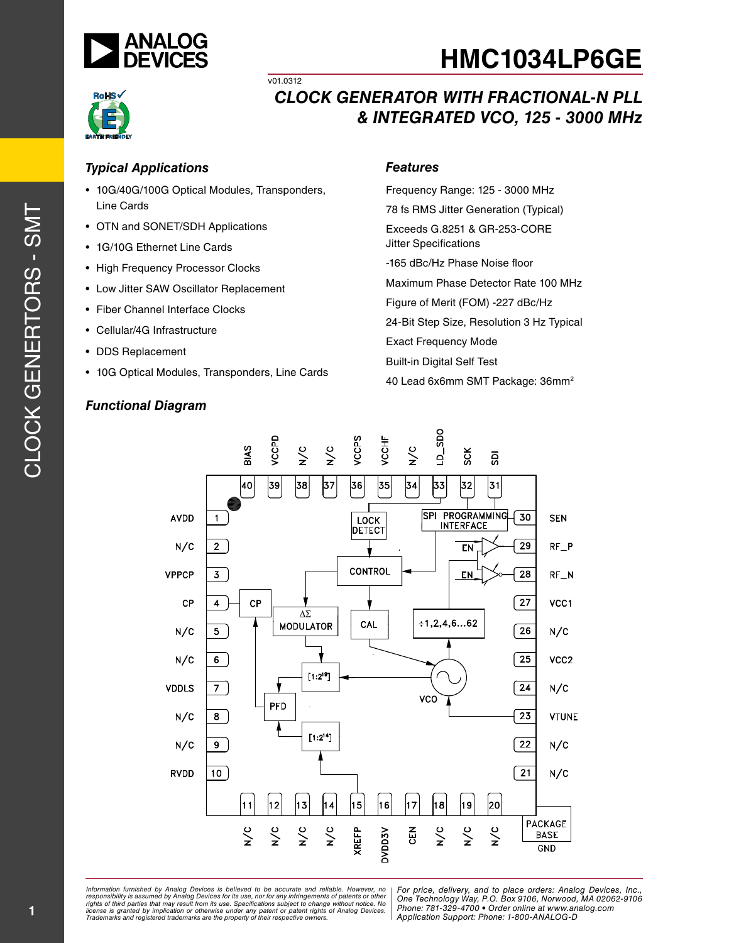





#### *Typical Applications*

• 10G/40G/100G Optical Modules, Transponders, Line Cards

v01.0312

- OTN and SONET/SDH Applications
- 1G/10G Ethernet Line Cards
- High Frequency Processor Clocks
- Low Jitter SAW Oscillator Replacement
- Fiber Channel Interface Clocks
- Cellular/4G Infrastructure
- DDS Replacement
- 10G Optical Modules, Transponders, Line Cards

### *Functional Diagram*

#### *Features*

Frequency Range: 125 - 3000 MHz 78 fs RMS Jitter Generation (Typical) Exceeds G.8251 & GR-253-CORE Jitter Specifications -165 dBc/Hz Phase Noise floor Maximum Phase Detector Rate 100 MHz Figure of Merit (FOM) -227 dBc/Hz 24-Bit Step Size, Resolution 3 Hz Typical Exact Frequency Mode Built-in Digital Self Test 40 Lead 6x6mm SMT Package: 36mm2

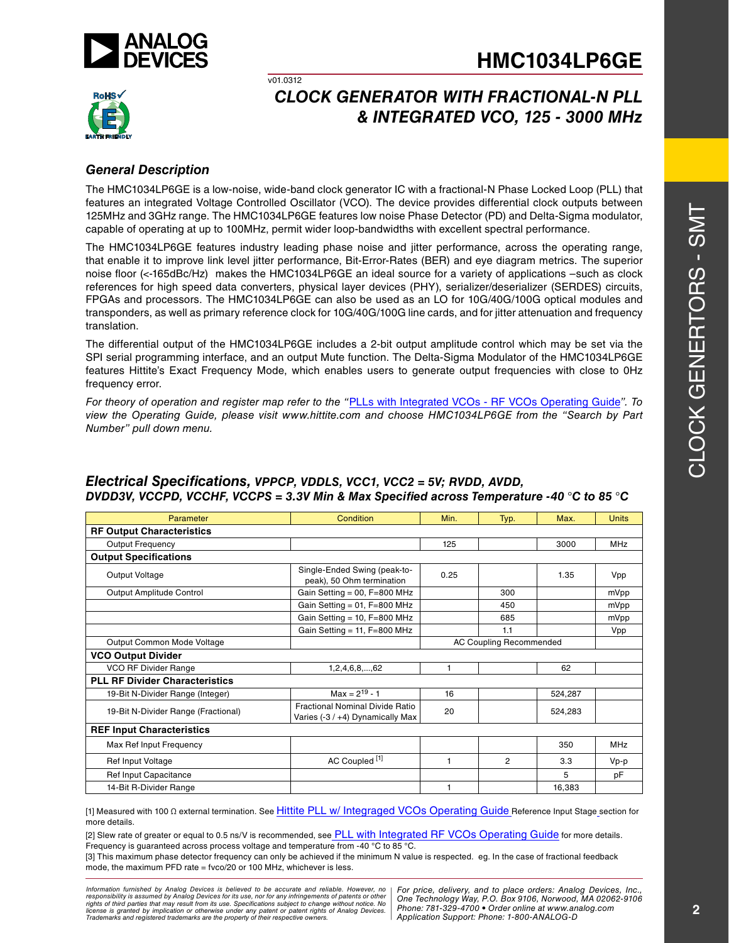



# *CLOCK GENERATOR WITH FRACTIONAL-N PLL & INTEGRATED VCO, 125 - 3000 MHz*

#### *General Description*

The HMC1034LP6GE is a low-noise, wide-band clock generator IC with a fractional-N Phase Locked Loop (PLL) that features an integrated Voltage Controlled Oscillator (VCO). The device provides differential clock outputs between 125MHz and 3GHz range. The HMC1034LP6GE features low noise Phase Detector (PD) and Delta-Sigma modulator, capable of operating at up to 100MHz, permit wider loop-bandwidths with excellent spectral performance.

v01.0312

The HMC1034LP6GE features industry leading phase noise and jitter performance, across the operating range, that enable it to improve link level jitter performance, Bit-Error-Rates (BER) and eye diagram metrics. The superior noise floor (<-165dBc/Hz) makes the HMC1034LP6GE an ideal source for a variety of applications –such as clock references for high speed data converters, physical layer devices (PHY), serializer/deserializer (SERDES) circuits, FPGAs and processors. The HMC1034LP6GE can also be used as an LO for 10G/40G/100G optical modules and transponders, as well as primary reference clock for 10G/40G/100G line cards, and for jitter attenuation and frequency translation.

The differential output of the HMC1034LP6GE includes a 2-bit output amplitude control which may be set via the SPI serial programming interface, and an output Mute function. The Delta-Sigma Modulator of the HMC1034LP6GE features Hittite's Exact Frequency Mode, which enables users to generate output frequencies with close to 0Hz frequency error.

*For theory of operation and register map refer to the "*PLLs with Integrated VCOs - RF VCOs Operating Guide*". To view the Operating Guide, please visit www.hittite.com and choose HMC1034LP6GE from the "Search by Part Number" pull down menu.*

| Parameter                             | Condition                                                                  | Min. | Typ.                           | Max.    | <b>Units</b> |
|---------------------------------------|----------------------------------------------------------------------------|------|--------------------------------|---------|--------------|
| <b>RF Output Characteristics</b>      |                                                                            |      |                                |         |              |
| <b>Output Frequency</b>               |                                                                            | 125  |                                | 3000    | <b>MHz</b>   |
| <b>Output Specifications</b>          |                                                                            |      |                                |         |              |
| Output Voltage                        | Single-Ended Swing (peak-to-<br>peak), 50 Ohm termination                  | 0.25 |                                |         | Vpp          |
| Output Amplitude Control              | Gain Setting = $00$ , F=800 MHz                                            |      | 300                            |         | mVpp         |
|                                       | Gain Setting = $01$ , $F=800$ MHz                                          |      | 450                            |         | mVpp         |
|                                       | Gain Setting = $10, F=800$ MHz                                             |      | 685                            |         | mVpp         |
|                                       | Gain Setting = $11$ , F=800 MHz                                            |      | 1.1                            |         | Vpp          |
| Output Common Mode Voltage            |                                                                            |      | <b>AC Coupling Recommended</b> |         |              |
| <b>VCO Output Divider</b>             |                                                                            |      |                                |         |              |
| VCO RF Divider Range                  | 1,2,4,6,8,,62                                                              | 1    |                                | 62      |              |
| <b>PLL RF Divider Characteristics</b> |                                                                            |      |                                |         |              |
| 19-Bit N-Divider Range (Integer)      | $Max = 2^{19} - 1$                                                         | 16   |                                | 524,287 |              |
| 19-Bit N-Divider Range (Fractional)   | <b>Fractional Nominal Divide Ratio</b><br>Varies (-3 / +4) Dynamically Max | 20   |                                | 524,283 |              |
| <b>REF Input Characteristics</b>      |                                                                            |      |                                |         |              |
| Max Ref Input Frequency               |                                                                            |      |                                | 350     | <b>MHz</b>   |
| Ref Input Voltage                     | AC Coupled <sup>[1]</sup>                                                  | 1    | 2                              | 3.3     | $Vp-p$       |
| Ref Input Capacitance                 |                                                                            |      |                                | 5       | pF           |
| 14-Bit R-Divider Range                |                                                                            | 1    |                                | 16,383  |              |

#### *Electrical Specifications, VPPCP, VDDLS, VCC1, VCC2 = 5V; RVDD, AVDD, DVDD3V, VCCPD, VCCHF, VCCPS = 3.3V Min & Max Specified across Temperature -40* °*C to 85* °*C*

[1] Measured with 100 Ω external termination. See Hittite PLL w/ Integraged VCOs Operating Guide Reference Input Stage section for more details.

[2] Slew rate of greater or equal to 0.5 ns/V is recommended, see PLL with Integrated RF VCOs Operating Guide for more details. Frequency is guaranteed across process voltage and temperature from -40 °C to 85 °C.

[3] This maximum phase detector frequency can only be achieved if the minimum N value is respected. eg. In the case of fractional feedback mode, the maximum PFD rate = fvco/20 or 100 MHz, whichever is less.

*Formation iurnished by Analog Devices is believed to be accurate and reliable. However, no Hor price, delivery, and to place orders: Analog Devices, In<br>roonsibility is assumed by Analog Devices for its use, nor for any pressult from its use. Specifications subject to change without notice. No*<br>ation or otherwise under any patent or patent rights of Analog Devices Phone: 781-329-4700 • Order online at ww *e* the property of their respective owners. **Application Support: Phone: 1-8** *Information furnished by Analog Devices is believed to be accurate and reliable. However, no*  responsibility is assumed by Analog Devices for its use, nor for any infringements of patents or other<br>rights of third parties that may result from its use. Specifications subject to change without notice. No<br>license is gr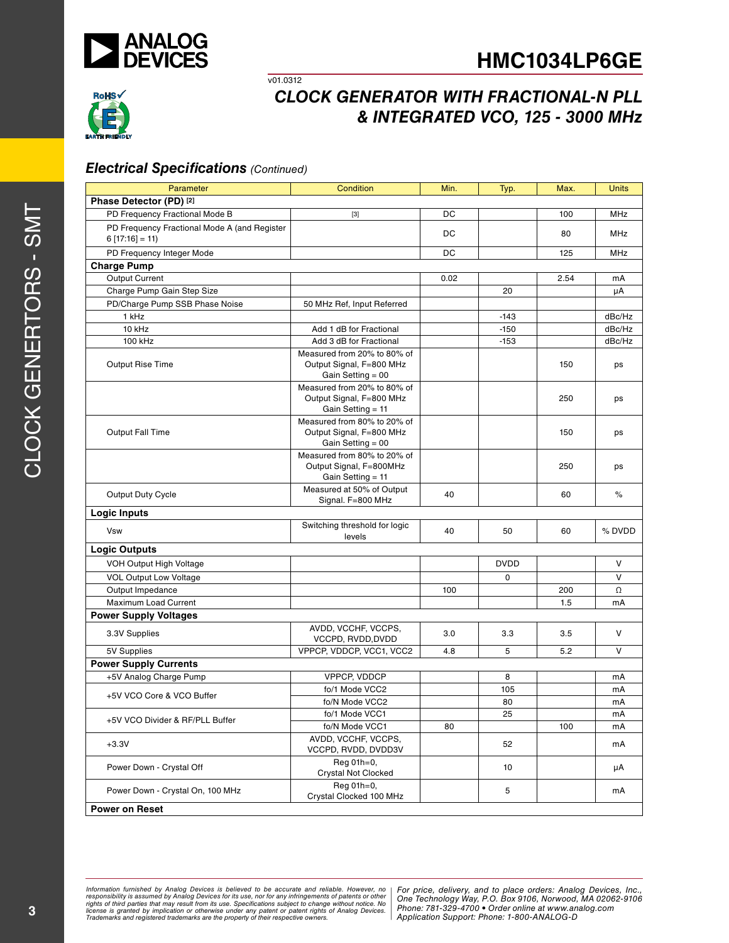



#### *Electrical Specifications (Continued)*

v01.0312

| Parameter                                                       | Condition                                                                    | Min. | Typ.            | Max. | Units      |
|-----------------------------------------------------------------|------------------------------------------------------------------------------|------|-----------------|------|------------|
| Phase Detector (PD) [2]                                         |                                                                              |      |                 |      |            |
| PD Frequency Fractional Mode B                                  | $[3]$                                                                        | DC   |                 | 100  | <b>MHz</b> |
| PD Frequency Fractional Mode A (and Register<br>$6[17:16] = 11$ |                                                                              | DC   |                 | 80   | MHz        |
| PD Frequency Integer Mode                                       |                                                                              | DC   |                 | 125  | MHz        |
| <b>Charge Pump</b>                                              |                                                                              |      |                 |      |            |
| Output Current                                                  |                                                                              | 0.02 |                 | 2.54 | mA         |
| Charge Pump Gain Step Size                                      |                                                                              |      | 20              |      | μA         |
| PD/Charge Pump SSB Phase Noise                                  | 50 MHz Ref, Input Referred                                                   |      |                 |      |            |
| 1 kHz                                                           |                                                                              |      | $-143$          |      | dBc/Hz     |
| 10 kHz                                                          | Add 1 dB for Fractional                                                      |      | $-150$          |      | dBc/Hz     |
| 100 kHz                                                         | Add 3 dB for Fractional                                                      |      | $-153$          |      | dBc/Hz     |
| <b>Output Rise Time</b>                                         | Measured from 20% to 80% of<br>Output Signal, F=800 MHz<br>Gain Setting = 00 |      |                 | 150  | ps         |
|                                                                 | Measured from 20% to 80% of<br>Output Signal, F=800 MHz<br>Gain Setting = 11 |      |                 | 250  | ps         |
| <b>Output Fall Time</b>                                         | Measured from 80% to 20% of<br>Output Signal, F=800 MHz<br>Gain Setting = 00 |      |                 | 150  | ps         |
|                                                                 | Measured from 80% to 20% of<br>Output Signal, F=800MHz<br>Gain Setting = 11  |      |                 | 250  | ps         |
| Output Duty Cycle                                               | Measured at 50% of Output<br>Signal. F=800 MHz                               | 40   |                 | 60   | $\%$       |
| <b>Logic Inputs</b>                                             |                                                                              |      |                 |      |            |
| <b>Vsw</b>                                                      | Switching threshold for logic<br>levels                                      | 40   | 50              | 60   | % DVDD     |
| <b>Logic Outputs</b>                                            |                                                                              |      |                 |      |            |
| VOH Output High Voltage                                         |                                                                              |      | <b>DVDD</b>     |      | V          |
| <b>VOL Output Low Voltage</b>                                   |                                                                              |      | 0               |      | $\vee$     |
| Output Impedance                                                |                                                                              | 100  |                 | 200  | Ω          |
| Maximum Load Current                                            |                                                                              |      |                 | 1.5  | mA         |
| <b>Power Supply Voltages</b>                                    |                                                                              |      |                 |      |            |
| 3.3V Supplies                                                   | AVDD, VCCHF, VCCPS,<br>VCCPD, RVDD, DVDD                                     | 3.0  | 3.3             | 3.5  | V          |
| 5V Supplies                                                     | VPPCP, VDDCP, VCC1, VCC2                                                     | 4.8  | 5               | 5.2  | v          |
| <b>Power Supply Currents</b>                                    |                                                                              |      |                 |      |            |
| +5V Analog Charge Pump                                          | VPPCP, VDDCP                                                                 |      | 8               |      | mA         |
| +5V VCO Core & VCO Buffer                                       | fo/1 Mode VCC2                                                               |      | 105             |      | mA         |
|                                                                 | fo/N Mode VCC2                                                               |      | 80              |      | mA         |
| +5V VCO Divider & RF/PLL Buffer                                 | fo/1 Mode VCC1                                                               |      | $\overline{25}$ |      | mA         |
|                                                                 | fo/N Mode VCC1                                                               | 80   |                 | 100  | mA         |
| $+3.3V$                                                         | AVDD, VCCHF, VCCPS,<br>VCCPD, RVDD, DVDD3V                                   |      | 52              |      | mA         |
| Power Down - Crystal Off                                        | Reg 01h=0,<br>Crystal Not Clocked                                            |      | 10              |      | μA         |
| Power Down - Crystal On, 100 MHz                                | Reg 01h=0,<br>Crystal Clocked 100 MHz                                        |      | 5               |      | mA         |
| <b>Power on Reset</b>                                           |                                                                              |      |                 |      |            |

*Formation iurnished by Analog Devices is believed to be accurate and reliable. However, no Hor price, delivery, and to place orders: Analog Devices, In<br>roonsibility is assumed by Analog Devices for its use, nor for any pressult from its use. Specifications subject to change without notice. No*<br>ation or otherwise under any patent or patent rights of Analog Devices Phone: 781-329-4700 • Order online at ww *e* the property of their respective owners. **Application Support: Phone: 1-8** Information furnished by Analog Devices is believed to be accurate and reliable. However, no<br>responsibility is assumed by Analog Devices for its use, nor for any infringements of patents or other<br>rights of third parties th

Clo

ck Genertors -

 $\mathcal{O}$  $\geq$  $\vdash$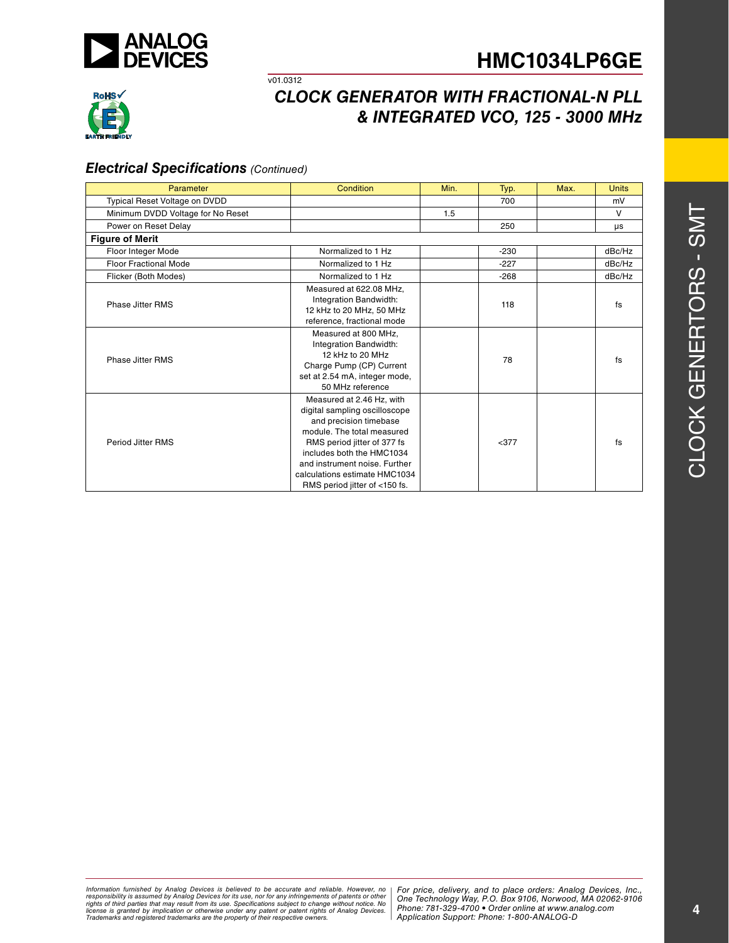



# *CLOCK GENERATOR WITH FRACTIONAL-N PLL & INTEGRATED VCO, 125 - 3000 MHz*

#### *Electrical Specifications (Continued)*

v01.0312

| Parameter                         | Condition                                                                                                                                                                                                                                                                         | Min. | Typ.   | Max. | <b>Units</b> |
|-----------------------------------|-----------------------------------------------------------------------------------------------------------------------------------------------------------------------------------------------------------------------------------------------------------------------------------|------|--------|------|--------------|
| Typical Reset Voltage on DVDD     |                                                                                                                                                                                                                                                                                   |      | 700    |      | mV           |
| Minimum DVDD Voltage for No Reset |                                                                                                                                                                                                                                                                                   | 1.5  |        |      | $\vee$       |
| Power on Reset Delay              |                                                                                                                                                                                                                                                                                   |      | 250    |      | μs           |
| <b>Figure of Merit</b>            |                                                                                                                                                                                                                                                                                   |      |        |      |              |
| Floor Integer Mode                | Normalized to 1 Hz                                                                                                                                                                                                                                                                |      | $-230$ |      | dBc/Hz       |
| <b>Floor Fractional Mode</b>      | Normalized to 1 Hz                                                                                                                                                                                                                                                                |      | $-227$ |      | dBc/Hz       |
| Flicker (Both Modes)              | Normalized to 1 Hz                                                                                                                                                                                                                                                                |      | $-268$ |      | dBc/Hz       |
| Phase Jitter RMS                  | Measured at 622.08 MHz,<br>Integration Bandwidth:<br>12 kHz to 20 MHz, 50 MHz<br>reference, fractional mode                                                                                                                                                                       |      | 118    |      | fs           |
| Phase Jitter RMS                  | Measured at 800 MHz.<br>Integration Bandwidth:<br>12 kHz to 20 MHz<br>Charge Pump (CP) Current<br>set at 2.54 mA, integer mode,<br>50 MHz reference                                                                                                                               |      | 78     |      | fs           |
| Period Jitter RMS                 | Measured at 2.46 Hz, with<br>digital sampling oscilloscope<br>and precision timebase<br>module. The total measured<br>RMS period jitter of 377 fs<br>includes both the HMC1034<br>and instrument noise. Further<br>calculations estimate HMC1034<br>RMS period jitter of <150 fs. |      | $377$  |      | fs           |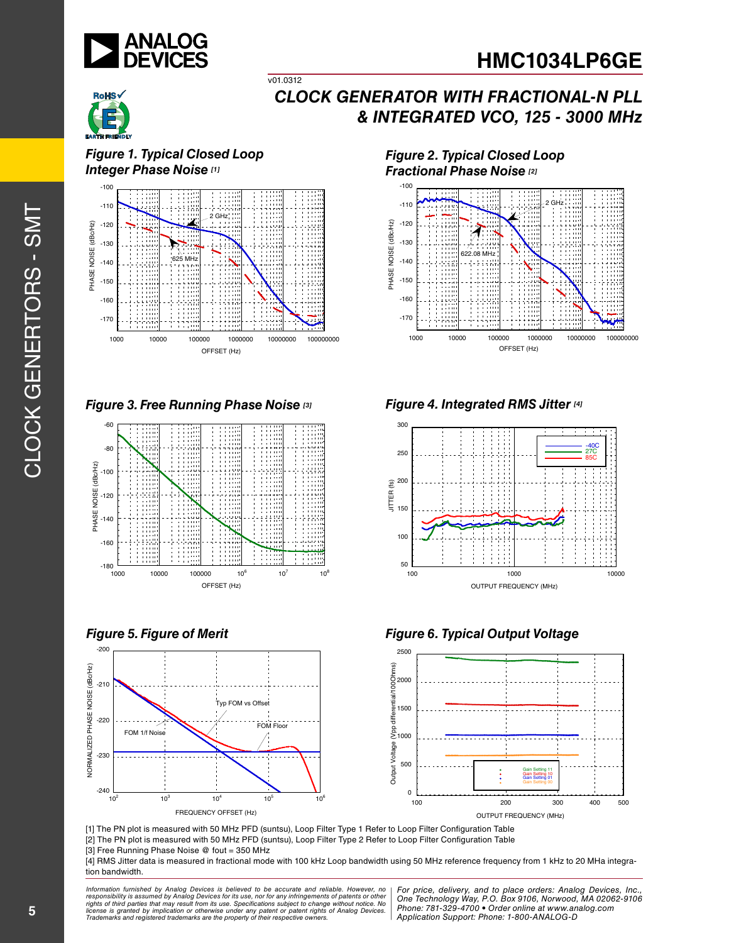



*Figure 1. Typical Closed Loop Integer Phase Noise [1]*



v01.0312

*Figure 3. Free Running Phase Noise [3]*





*Figure 2. Typical Closed Loop Fractional Phase Noise [2]*



*Figure 4. Integrated RMS Jitter [4]*



*Figure 5. Figure of Merit Figure 6. Typical Output Voltage*



[1] The PN plot is measured with 50 MHz PFD (suntsu), Loop Filter Type 1 Refer to Loop Filter Configuration Table [2] The PN plot is measured with 50 MHz PFD (suntsu), Loop Filter Type 2 Refer to Loop Filter Configuration Table [3] Free Running Phase Noise @ fout = 350 MHz

[4] RMS Jitter data is measured in fractional mode with 100 kHz Loop bandwidth using 50 MHz reference frequency from 1 kHz to 20 MHa integration bandwidth.

*Formation iurnished by Analog Devices is believed to be accurate and reliable. However, no Hor price, delivery, and to place orders: Analog Devices, In<br>roonsibility is assumed by Analog Devices for its use, nor for any pressult from its use. Specifications subject to change without notice. No*<br>ation or otherwise under any patent or patent rights of Analog Devices Phone: 781-329-4700 • Order online at ww *e* the property of their respective owners. **Application Support: Phone: 1-8** Information furnished by Analog Devices is believed to be accurate and reliable. However, no<br>responsibility is assumed by Analog Devices for its use, nor for any infringements of patents or other<br>rights of third parties th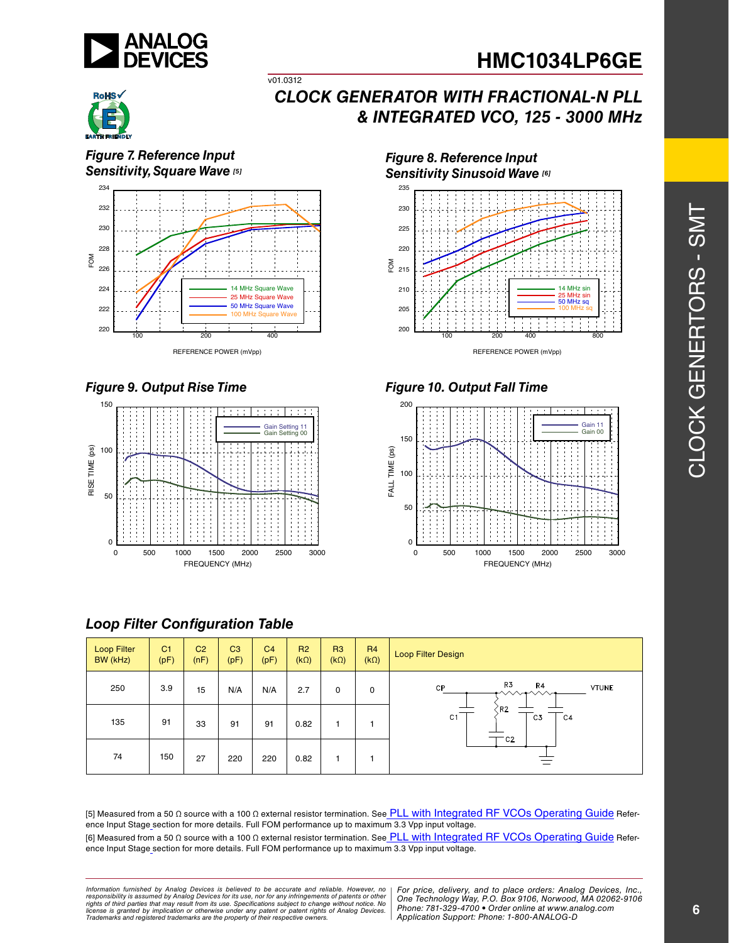



*Figure 7. Reference Input Sensitivity, Square Wave [5]*



v01.0312

### *Figure 9. Output Rise Time*



### *Loop Filter Configuration Table*

Loop Filter C<sub>1</sub>  $C<sub>2</sub>$ C3  $C<sub>4</sub>$ R3 R2 R4  $\begin{array}{c} \mathsf{R}^4 \\ (\mathsf{k} \Omega) \end{array}$  Loop Filter Design BW (kHz) (pF) (nF) (pF) (pF) (kΩ) (kΩ) R3 R4  $\mathsf{CP}$ **VTUNE** 250 | 3.9 | 15 | N/A | N/A | 2.7 | 0 | 0 R<sub>2</sub>  $C<sub>1</sub>$  $\overline{\text{c}}$ 3  $C<sub>4</sub>$ 135 | 91 | 33 | 91 | 91 | 0.82 | 1 | 1  $C<sub>2</sub>$ 74 150 27 220 220 0.82 1 1

[5] Measured from a 50 Ω source with a 100 Ω external resistor termination. See PLL with Integrated RF VCOs Operating Guide Reference Input Stage section for more details. Full FOM performance up to maximum 3.3 Vpp input voltage. [6] Measured from a 50 Ω source with a 100 Ω external resistor termination. See PLL with Integrated RF VCOs Operating Guide Reference Input Stage section for more details. Full FOM performance up to maximum 3.3 Vpp input voltage.

*Formation iurnished by Analog Devices is believed to be accurate and reliable. However, no Hor price, delivery, and to place orders: Analog Devices, In<br>roonsibility is assumed by Analog Devices for its use, nor for any pressult from its use. Specifications subject to change without notice. No*<br>ation or otherwise under any patent or patent rights of Analog Devices Phone: 781-329-4700 • Order online at ww *e* the property of their respective owners. **Application Support: Phone: 1-8** *Information furnished by Analog Devices is believed to be accurate and reliable. However, no*  responsibility is assumed by Analog Devices for its use, nor for any infringements of patents or other<br>rights of third parties that may result from its use. Specifications subject to change without notice. No<br>license is gr

*For price, delivery, and to place orders: Analog Devices, Inc., One Technology Way, P.O. Box 9106, Norwood, MA 02062-9106 Phone: 781-329-4700 • Order online at www.analog.com Application Support: Phone: 1-800-ANALOG-D*

*Figure 8. Reference Input Sensitivity Sinusoid Wave [6]*



*Figure 10. Output Fall Time*

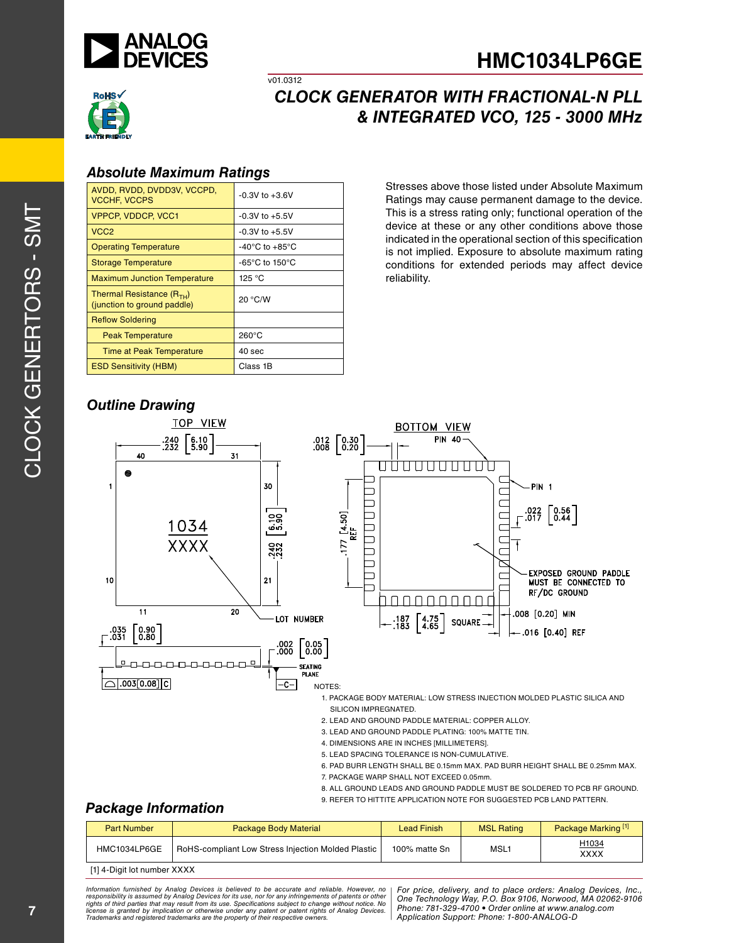



# *CLOCK GENERATOR WITH FRACTIONAL-N PLL & INTEGRATED VCO, 125 - 3000 MHz*

#### *Absolute Maximum Ratings*

| AVDD, RVDD, DVDD3V, VCCPD,<br><b>VCCHF, VCCPS</b>            | $-0.3V$ to $+3.6V$                                   |
|--------------------------------------------------------------|------------------------------------------------------|
| <b>VPPCP, VDDCP, VCC1</b>                                    | $-0.3V$ to $+5.5V$                                   |
| VCC <sub>2</sub>                                             | $-0.3V$ to $+5.5V$                                   |
| <b>Operating Temperature</b>                                 | $-40^{\circ}$ C to $+85^{\circ}$ C                   |
| <b>Storage Temperature</b>                                   | -65 $\mathrm{^{\circ}C}$ to 150 $\mathrm{^{\circ}C}$ |
| <b>Maximum Junction Temperature</b>                          | 125 °C                                               |
| Thermal Resistance $(R_{TH})$<br>(junction to ground paddle) | 20 °C/W                                              |
| <b>Reflow Soldering</b>                                      |                                                      |
| <b>Peak Temperature</b>                                      | $260^{\circ}$ C                                      |
| <b>Time at Peak Temperature</b>                              | 40 <sub>sec</sub>                                    |
| <b>ESD Sensitivity (HBM)</b>                                 | Class 1B                                             |

v01.0312

Stresses above those listed under Absolute Maximum Ratings may cause permanent damage to the device. This is a stress rating only; functional operation of the device at these or any other conditions above those indicated in the operational section of this specification is not implied. Exposure to absolute maximum rating conditions for extended periods may affect device reliability.

### *Outline Drawing*



- 
- 8. ALL GROUND LEADS AND GROUND PADDLE MUST BE SOLDERED TO PCB RF GROUND.

#### 9. REFER TO HITTITE APPLICATION NOTE FOR SUGGESTED PCB LAND PATTERN.

### *Package Information*

| <b>Part Number</b>          | <b>Package Body Material</b>                       | Lead Finish   | <b>MSL Rating</b> | Package Marking <sup>[1]</sup> |  |
|-----------------------------|----------------------------------------------------|---------------|-------------------|--------------------------------|--|
| HMC1034LP6GE                | RoHS-compliant Low Stress Injection Molded Plastic | 100% matte Sn | MSL <sub>1</sub>  | H1034<br><b>XXXX</b>           |  |
| [1] 4-Digit lot number XXXX |                                                    |               |                   |                                |  |

ormation furnished by Analog Devices is believed to be accurate and reliable. However, no | For price, delivery, and to place orders: Analog Devices, Inc.,<br>popsibility is assumed by Analog Devices for its use, not for any *pressult from its use. Specifications subject to change without notice. No*<br>ation or otherwise under any patent or patent rights of Analog Devices Phone: 781-329-4700 • Order online at ww *e* the property of their respective owners. **Application Support: Phone: 1-8** *Information furnished by Analog Devices is believed to be accurate and reliable. However, no*  responsibility is assumed by Analog Devices for its use, nor for any infringements of patents or other<br>rights of third parties that may result from its use. Specifications subject to change without notice. No<br>license is gr

*Phone: 781-329-4700 • Order online at www.analog.com Application Support: Phone: 1-800-ANALOG-D*

 $\vdash$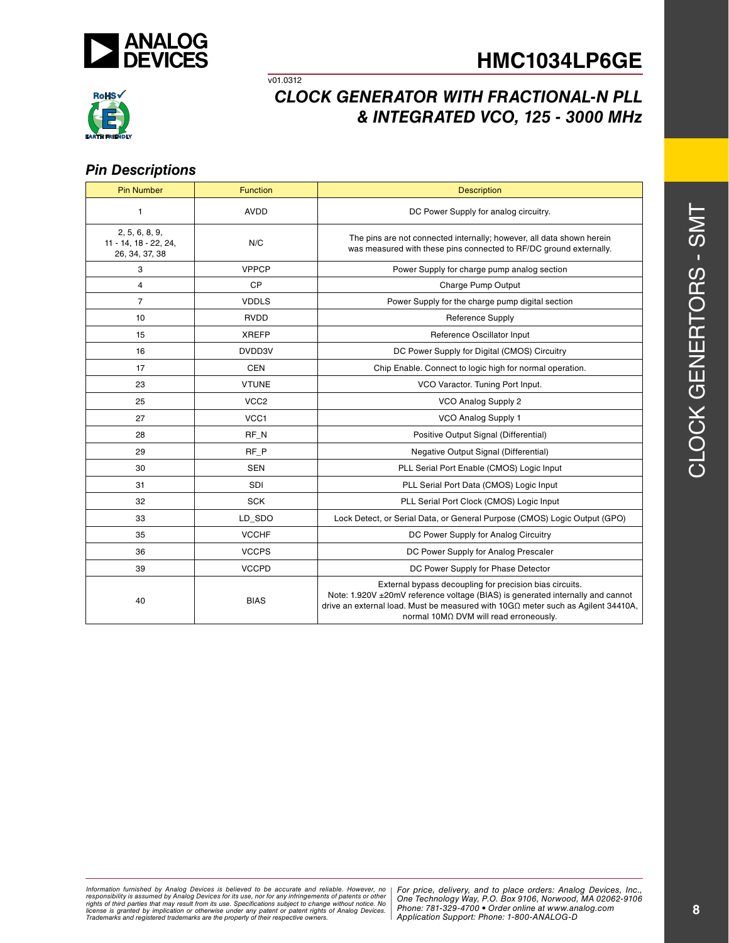

v01.0312

# **HMC1034LP6GE**



## *CLOCK GENERATOR WITH FRACTIONAL-N PLL & INTEGRATED VCO, 125 - 3000 MHz*

#### *Pin Descriptions*

| <b>Pin Number</b>                                         | <b>Function</b>  | <b>Description</b>                                                                                                                                                                                                                                                             |  |
|-----------------------------------------------------------|------------------|--------------------------------------------------------------------------------------------------------------------------------------------------------------------------------------------------------------------------------------------------------------------------------|--|
| 1                                                         | <b>AVDD</b>      | DC Power Supply for analog circuitry.                                                                                                                                                                                                                                          |  |
| 2, 5, 6, 8, 9,<br>11 - 14, 18 - 22, 24,<br>26, 34, 37, 38 | N/C              | The pins are not connected internally; however, all data shown herein<br>was measured with these pins connected to RF/DC ground externally.                                                                                                                                    |  |
| 3                                                         | <b>VPPCP</b>     | Power Supply for charge pump analog section                                                                                                                                                                                                                                    |  |
| $\overline{4}$                                            | <b>CP</b>        | Charge Pump Output                                                                                                                                                                                                                                                             |  |
| $\overline{7}$                                            | <b>VDDLS</b>     | Power Supply for the charge pump digital section                                                                                                                                                                                                                               |  |
| 10                                                        | <b>RVDD</b>      | <b>Reference Supply</b>                                                                                                                                                                                                                                                        |  |
| 15                                                        | <b>XREFP</b>     | Reference Oscillator Input                                                                                                                                                                                                                                                     |  |
| 16                                                        | DVDD3V           | DC Power Supply for Digital (CMOS) Circuitry                                                                                                                                                                                                                                   |  |
| 17                                                        | <b>CEN</b>       | Chip Enable. Connect to logic high for normal operation.                                                                                                                                                                                                                       |  |
| 23                                                        | <b>VTUNE</b>     | VCO Varactor. Tuning Port Input.                                                                                                                                                                                                                                               |  |
| 25                                                        | VCC <sub>2</sub> | VCO Analog Supply 2                                                                                                                                                                                                                                                            |  |
| 27                                                        | VCC1             | VCO Analog Supply 1                                                                                                                                                                                                                                                            |  |
| 28                                                        | $RF_N$           | Positive Output Signal (Differential)                                                                                                                                                                                                                                          |  |
| 29                                                        | RF P             | Negative Output Signal (Differential)                                                                                                                                                                                                                                          |  |
| 30                                                        | <b>SEN</b>       | PLL Serial Port Enable (CMOS) Logic Input                                                                                                                                                                                                                                      |  |
| 31                                                        | SDI              | PLL Serial Port Data (CMOS) Logic Input                                                                                                                                                                                                                                        |  |
| 32                                                        | <b>SCK</b>       | PLL Serial Port Clock (CMOS) Logic Input                                                                                                                                                                                                                                       |  |
| 33                                                        | LD SDO           | Lock Detect, or Serial Data, or General Purpose (CMOS) Logic Output (GPO)                                                                                                                                                                                                      |  |
| 35                                                        | <b>VCCHF</b>     | DC Power Supply for Analog Circuitry                                                                                                                                                                                                                                           |  |
| 36                                                        | <b>VCCPS</b>     | DC Power Supply for Analog Prescaler                                                                                                                                                                                                                                           |  |
| 39                                                        | <b>VCCPD</b>     | DC Power Supply for Phase Detector                                                                                                                                                                                                                                             |  |
| 40                                                        | <b>BIAS</b>      | External bypass decoupling for precision bias circuits.<br>Note: 1.920V ±20mV reference voltage (BIAS) is generated internally and cannot<br>drive an external load. Must be measured with $10G\Omega$ meter such as Agilent 34410A,<br>normal 10ΜΩ DVM will read erroneously. |  |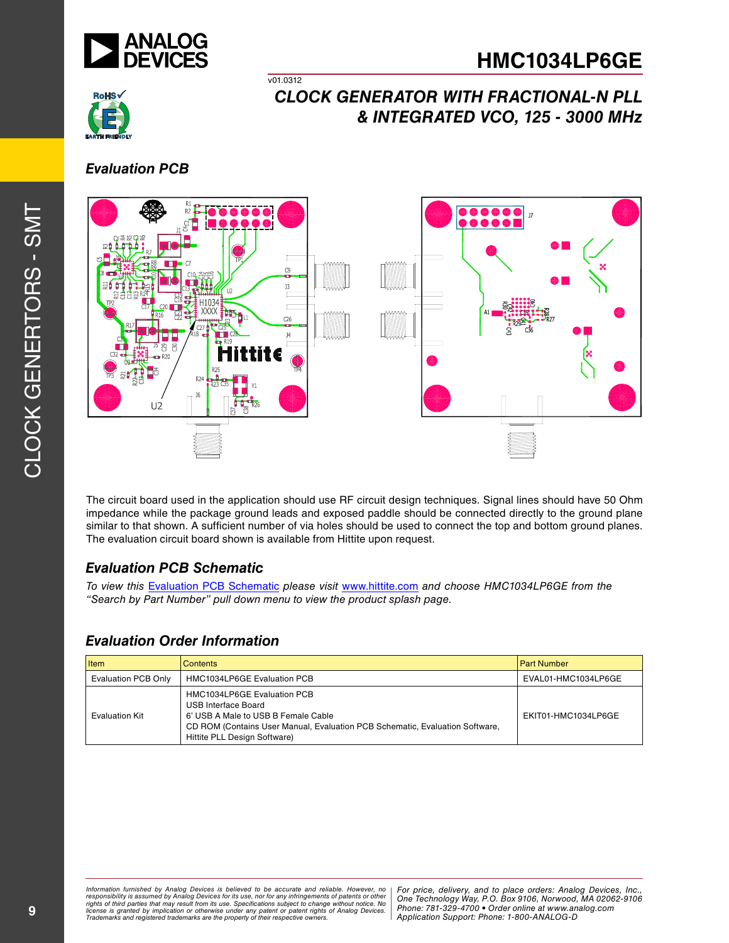



### *Evaluation PCB*



v01.0312

The circuit board used in the application should use RF circuit design techniques. Signal lines should have 50 Ohm impedance while the package ground leads and exposed paddle should be connected directly to the ground plane similar to that shown. A sufficient number of via holes should be used to connect the top and bottom ground planes. The evaluation circuit board shown is available from Hittite upon request.

### *Evaluation PCB Schematic*

*To view this* Evaluation PCB Schematic *please visit* www.hittite.com *and choose HMC1034LP6GE from the "Search by Part Number" pull down menu to view the product splash page.*

### *Evaluation Order Information*

| <b>Item</b>           | <b>Contents</b>                                                                                                                                                                                                  | <b>Part Number</b>  |
|-----------------------|------------------------------------------------------------------------------------------------------------------------------------------------------------------------------------------------------------------|---------------------|
| Evaluation PCB Only   | <b>HMC1034LP6GE Evaluation PCB</b>                                                                                                                                                                               | EVAL01-HMC1034LP6GE |
| <b>Evaluation Kit</b> | HMC1034LP6GE Evaluation PCB<br><b>USB Interface Board</b><br>6' USB A Male to USB B Female Cable<br>CD ROM (Contains User Manual, Evaluation PCB Schematic, Evaluation Software,<br>Hittite PLL Design Software) | EKIT01-HMC1034LP6GE |

ormation furnished by Analog Devices is believed to be accurate and reliable. However, no | For price, delivery, and to place orders: Analog Devices, Inc.,<br>popsibility is assumed by Analog Devices for its use, not for any *pressult from its use. Specifications subject to change without notice. No*<br>ation or otherwise under any patent or patent rights of Analog Devices Phone: 781-329-4700 • Order online at ww *e* the property of their respective owners. **Application Support: Phone: 1-8** *Information furnished by Analog Devices is believed to be accurate and reliable. However, no*  responsibility is assumed by Analog Devices for its use, nor for any infringements of patents or other<br>rights of third parties that may result from its use. Specifications subject to change without notice. No<br>license is gr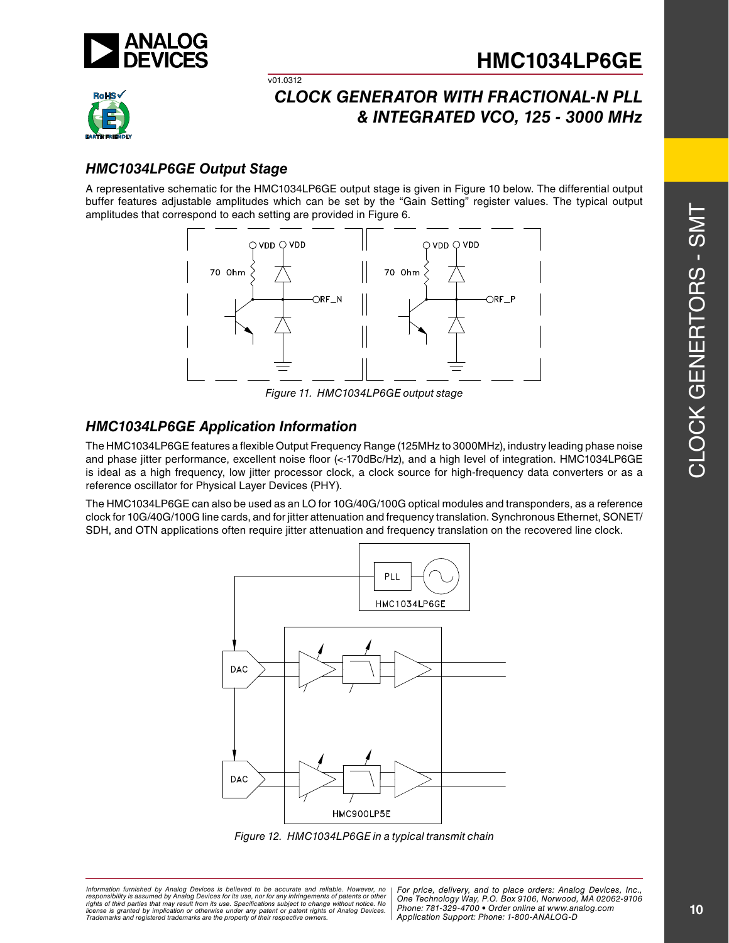



### *HMC1034LP6GE Output Stage*

A representative schematic for the HMC1034LP6GE output stage is given in Figure 10 below. The differential output buffer features adjustable amplitudes which can be set by the "Gain Setting" register values. The typical output amplitudes that correspond to each setting are provided in Figure 6.

v01.0312



*Figure 11. HMC1034LP6GE output stage*

### *HMC1034LP6GE Application Information*

The HMC1034LP6GE features a flexible Output Frequency Range (125MHz to 3000MHz), industry leading phase noise and phase jitter performance, excellent noise floor (<-170dBc/Hz), and a high level of integration. HMC1034LP6GE is ideal as a high frequency, low jitter processor clock, a clock source for high-frequency data converters or as a reference oscillator for Physical Layer Devices (PHY).

The HMC1034LP6GE can also be used as an LO for 10G/40G/100G optical modules and transponders, as a reference clock for 10G/40G/100G line cards, and for jitter attenuation and frequency translation. Synchronous Ethernet, SONET/ SDH, and OTN applications often require jitter attenuation and frequency translation on the recovered line clock.



*Figure 12. HMC1034LP6GE in a typical transmit chain*

*Formation iurnished by Analog Devices is believed to be accurate and reliable. However, no Hor price, delivery, and to place orders: Analog Devices, In<br>roonsibility is assumed by Analog Devices for its use, nor for any pressult from its use. Specifications subject to change without notice. No*<br>ation or otherwise under any patent or patent rights of Analog Devices Phone: 781-329-4700 • Order online at ww *e* the property of their respective owners. **Application Support: Phone: 1-8** *Information furnished by Analog Devices is believed to be accurate and reliable. However, no*  responsibility is assumed by Analog Devices for its use, nor for any infringements of patents or other<br>rights of third parties that may result from its use. Specifications subject to change without notice. No<br>license is gr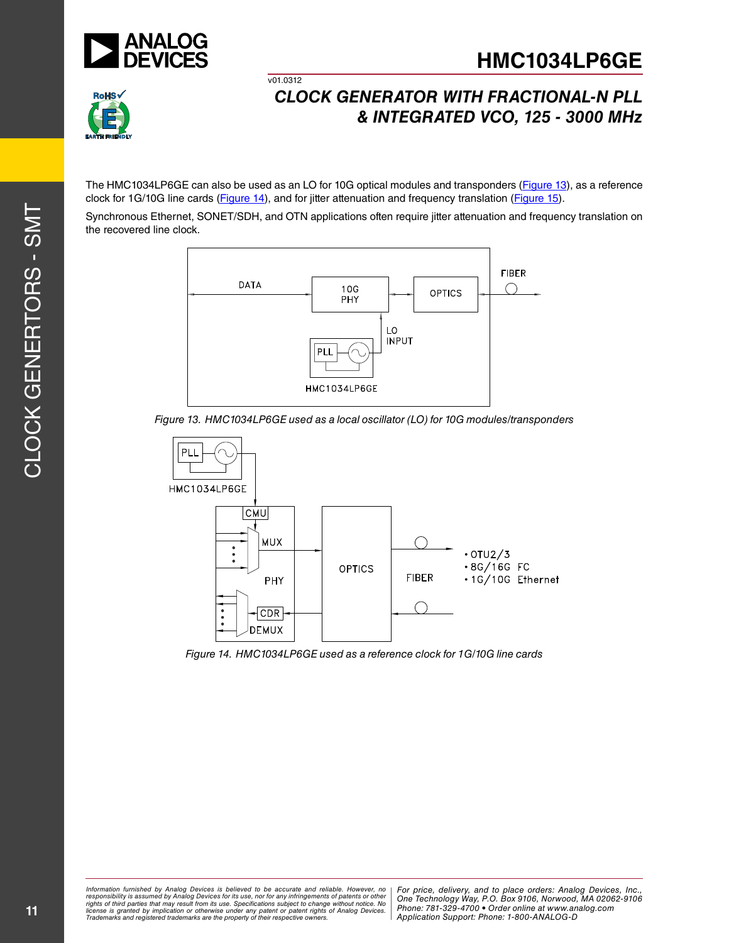



## *CLOCK GENERATOR WITH FRACTIONAL-N PLL & INTEGRATED VCO, 125 - 3000 MHz*

The HMC1034LP6GE can also be used as an LO for 10G optical modules and transponders (Figure 13), as a reference clock for 1G/10G line cards (Figure 14), and for jitter attenuation and frequency translation (Figure 15).

v01.0312

Synchronous Ethernet, SONET/SDH, and OTN applications often require jitter attenuation and frequency translation on the recovered line clock.



*Figure 13. HMC1034LP6GE used as a local oscillator (LO) for 10G modules/transponders*



*Figure 14. HMC1034LP6GE used as a reference clock for 1G/10G line cards*

ormation furnished by Analog Devices is believed to be accurate and reliable. However, no | For price, delivery, and to place orders: Analog Devices, Inc.,<br>popsibility is assumed by Analog Devices for its use, not for any *pressult from its use. Specifications subject to change without notice. No*<br>ation or otherwise under any patent or patent rights of Analog Devices Phone: 781-329-4700 • Order online at ww *e* the property of their respective owners. **Application Support: Phone: 1-8** *Information furnished by Analog Devices is believed to be accurate and reliable. However, no*  responsibility is assumed by Analog Devices for its use, nor for any infringements of patents or other<br>rights of third parties that may result from its use. Specifications subject to change without notice. No<br>license is gr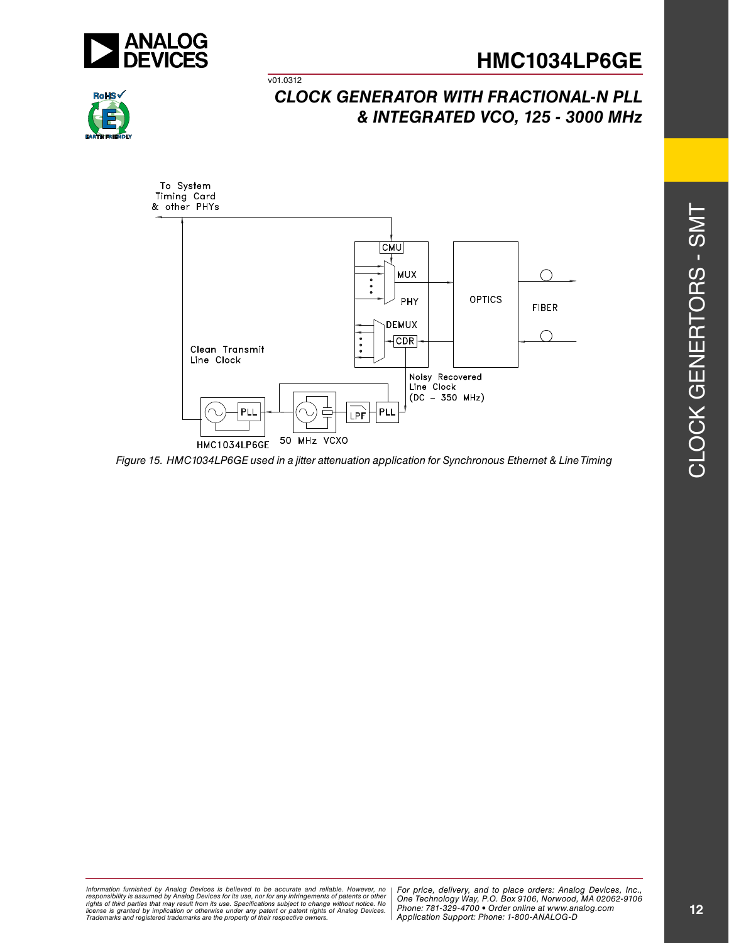



## *CLOCK GENERATOR WITH FRACTIONAL-N PLL & INTEGRATED VCO, 125 - 3000 MHz*



v01.0312

*Figure 15. HMC1034LP6GE used in a jitter attenuation application for Synchronous Ethernet & Line Timing*

*Formation iurnished by Analog Devices is believed to be accurate and reliable. However, no Hor price, delivery, and to place orders: Analog Devices, In<br>roonsibility is assumed by Analog Devices for its use, nor for any pressult from its use. Specifications subject to change without notice. No*<br>ation or otherwise under any patent or patent rights of Analog Devices Phone: 781-329-4700 • Order online at ww *e* the property of their respective owners. **Application Support: Phone: 1-8** Information furnished by Analog Devices is believed to be accurate and reliable. However, no<br>responsibility is assumed by Analog Devices for its use, nor for any infringements of patents or other<br>rights of third parties th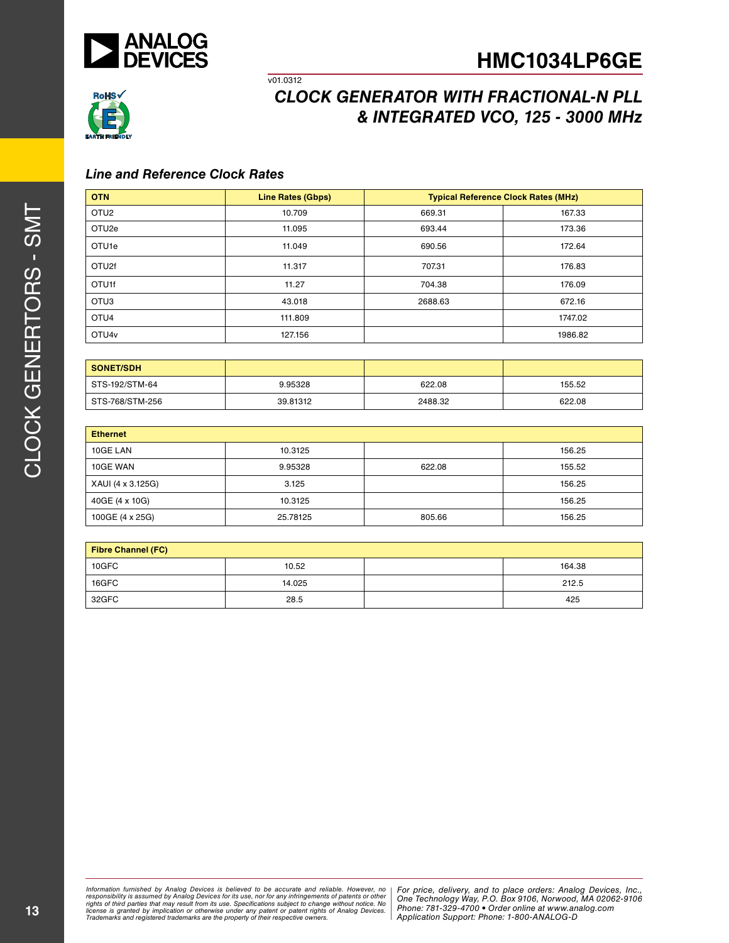



## *CLOCK GENERATOR WITH FRACTIONAL-N PLL & INTEGRATED VCO, 125 - 3000 MHz*

#### *Line and Reference Clock Rates*

| <b>OTN</b>        | <b>Line Rates (Gbps)</b> | <b>Typical Reference Clock Rates (MHz)</b> |         |
|-------------------|--------------------------|--------------------------------------------|---------|
| OTU <sub>2</sub>  | 10.709                   | 669.31                                     | 167.33  |
| OTU <sub>2e</sub> | 11.095                   | 693.44                                     | 173.36  |
| OTU <sub>1e</sub> | 11.049                   | 690.56                                     | 172.64  |
| OTU2f             | 11.317                   | 707.31                                     | 176.83  |
| OTU1f             | 11.27                    | 704.38                                     | 176.09  |
| OTU <sub>3</sub>  | 43.018                   | 2688.63                                    | 672.16  |
| OTU <sub>4</sub>  | 111.809                  |                                            | 1747.02 |
| OTU <sub>4v</sub> | 127.156                  |                                            | 1986.82 |

v01.0312

| I SONET/SDH     |          |         |        |
|-----------------|----------|---------|--------|
| STS-192/STM-64  | 9.95328  | 622.08  | 155.52 |
| STS-768/STM-256 | 39.81312 | 2488.32 | 622.08 |

| <b>Ethernet</b>   |          |        |        |  |
|-------------------|----------|--------|--------|--|
| 10GE LAN          | 10.3125  |        | 156.25 |  |
| 10GE WAN          | 9.95328  | 622.08 | 155.52 |  |
| XAUI (4 x 3.125G) | 3.125    |        | 156.25 |  |
| 40GE (4 x 10G)    | 10.3125  |        | 156.25 |  |
| 100GE (4 x 25G)   | 25.78125 | 805.66 | 156.25 |  |

| <b>Fibre Channel (FC)</b> |        |  |        |
|---------------------------|--------|--|--------|
| 10GFC                     | 10.52  |  | 164.38 |
| 16GFC                     | 14.025 |  | 212.5  |
| 32GFC                     | 28.5   |  | 425    |

*Formation iurnished by Analog Devices is believed to be accurate and reliable. However, no Hor price, delivery, and to place orders: Analog Devices, In<br>roonsibility is assumed by Analog Devices for its use, nor for any pressult from its use. Specifications subject to change without notice. No*<br>ation or otherwise under any patent or patent rights of Analog Devices Phone: 781-329-4700 • Order online at ww *e* the property of their respective owners. **Application Support: Phone: 1-8** Information furnished by Analog Devices is believed to be accurate and reliable. However, no<br>responsibility is assumed by Analog Devices for its use, nor for any infringements of patents or other<br>rights of third parties th